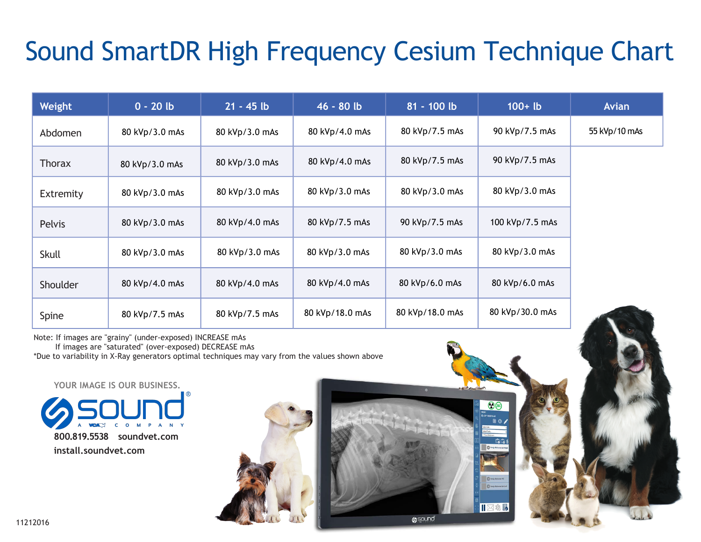## Sound SmartDR High Frequency Cesium Technique Chart

| Weight        | $0 - 20 lb$    | $21 - 45$ lb   | 46 - 80 lb      | $81 - 100$ lb   | $100 + lb$      | <b>Avian</b>  |
|---------------|----------------|----------------|-----------------|-----------------|-----------------|---------------|
| Abdomen       | 80 kVp/3.0 mAs | 80 kVp/3.0 mAs | 80 kVp/4.0 mAs  | 80 kVp/7.5 mAs  | 90 kVp/7.5 mAs  | 55 kVp/10 mAs |
| <b>Thorax</b> | 80 kVp/3.0 mAs | 80 kVp/3.0 mAs | 80 kVp/4.0 mAs  | 80 kVp/7.5 mAs  | 90 kVp/7.5 mAs  |               |
| Extremity     | 80 kVp/3.0 mAs | 80 kVp/3.0 mAs | 80 kVp/3.0 mAs  | 80 kVp/3.0 mAs  | 80 kVp/3.0 mAs  |               |
| <b>Pelvis</b> | 80 kVp/3.0 mAs | 80 kVp/4.0 mAs | 80 kVp/7.5 mAs  | 90 kVp/7.5 mAs  | 100 kVp/7.5 mAs |               |
| Skull         | 80 kVp/3.0 mAs | 80 kVp/3.0 mAs | 80 kVp/3.0 mAs  | 80 kVp/3.0 mAs  | 80 kVp/3.0 mAs  |               |
| Shoulder      | 80 kVp/4.0 mAs | 80 kVp/4.0 mAs | 80 kVp/4.0 mAs  | 80 kVp/6.0 mAs  | 80 kVp/6.0 mAs  |               |
| Spine         | 80 kVp/7.5 mAs | 80 kVp/7.5 mAs | 80 kVp/18.0 mAs | 80 kVp/18.0 mAs | 80 kVp/30.0 mAs |               |

 $\odot$  (28)

 $\overline{0}$  tod

**O**sound

Note: If images are "grainy" (under-exposed) INCREASE mAs

If images are "saturated" (over-exposed) DECREASE mAs

\*Due to variability in X-Ray generators optimal techniques may vary from the values shown above

**800.819.5538 soundvet.com install.soundvet.com YOUR IMAGE IS OUR BUSINESS.**

11212016